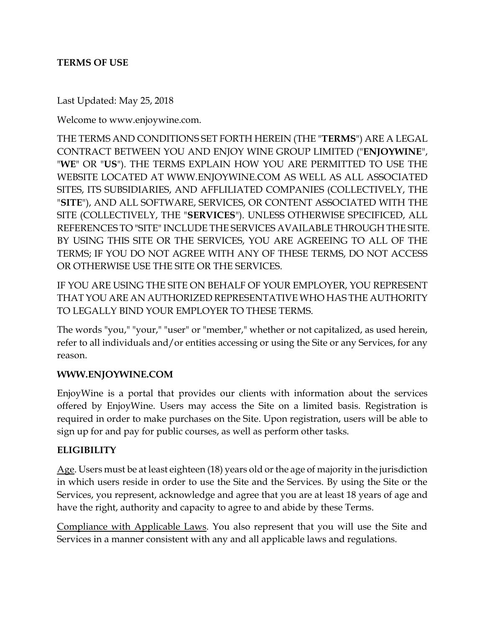#### **TERMS OF USE**

Last Updated: May 25, 2018

Welcome to www.enjoywine.com.

THE TERMS AND CONDITIONS SET FORTH HEREIN (THE "**TERMS**") ARE A LEGAL CONTRACT BETWEEN YOU AND ENJOY WINE GROUP LIMITED ("**ENJOYWINE**", "**WE**" OR "**US**"). THE TERMS EXPLAIN HOW YOU ARE PERMITTED TO USE THE WEBSITE LOCATED AT WWW.ENJOYWINE.COM AS WELL AS ALL ASSOCIATED SITES, ITS SUBSIDIARIES, AND AFFLILIATED COMPANIES (COLLECTIVELY, THE "**SITE**"), AND ALL SOFTWARE, SERVICES, OR CONTENT ASSOCIATED WITH THE SITE (COLLECTIVELY, THE "**SERVICES**"). UNLESS OTHERWISE SPECIFICED, ALL REFERENCES TO "SITE" INCLUDE THE SERVICES AVAILABLE THROUGH THE SITE. BY USING THIS SITE OR THE SERVICES, YOU ARE AGREEING TO ALL OF THE TERMS; IF YOU DO NOT AGREE WITH ANY OF THESE TERMS, DO NOT ACCESS OR OTHERWISE USE THE SITE OR THE SERVICES.

IF YOU ARE USING THE SITE ON BEHALF OF YOUR EMPLOYER, YOU REPRESENT THAT YOU ARE AN AUTHORIZED REPRESENTATIVE WHO HAS THE AUTHORITY TO LEGALLY BIND YOUR EMPLOYER TO THESE TERMS.

The words "you," "your," "user" or "member," whether or not capitalized, as used herein, refer to all individuals and/or entities accessing or using the Site or any Services, for any reason.

#### **WWW.ENJOYWINE.COM**

EnjoyWine is a portal that provides our clients with information about the services offered by EnjoyWine. Users may access the Site on a limited basis. Registration is required in order to make purchases on the Site. Upon registration, users will be able to sign up for and pay for public courses, as well as perform other tasks.

#### **ELIGIBILITY**

Age. Users must be at least eighteen (18) years old or the age of majority in the jurisdiction in which users reside in order to use the Site and the Services. By using the Site or the Services, you represent, acknowledge and agree that you are at least 18 years of age and have the right, authority and capacity to agree to and abide by these Terms.

Compliance with Applicable Laws. You also represent that you will use the Site and Services in a manner consistent with any and all applicable laws and regulations.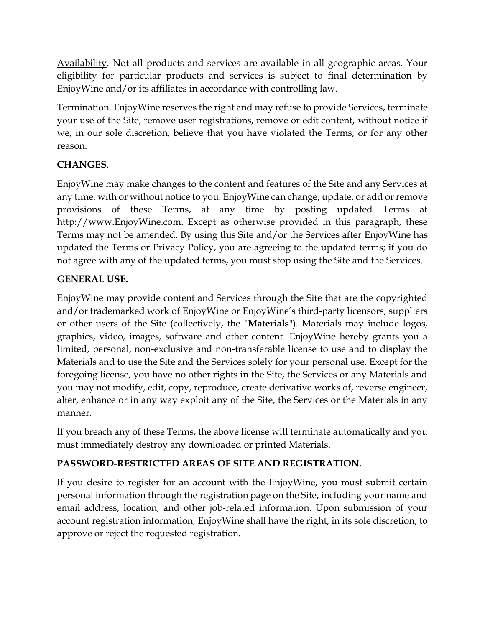Availability. Not all products and services are available in all geographic areas. Your eligibility for particular products and services is subject to final determination by EnjoyWine and/or its affiliates in accordance with controlling law.

Termination. EnjoyWine reserves the right and may refuse to provide Services, terminate your use of the Site, remove user registrations, remove or edit content, without notice if we, in our sole discretion, believe that you have violated the Terms, or for any other reason.

# **CHANGES**.

EnjoyWine may make changes to the content and features of the Site and any Services at any time, with or without notice to you. EnjoyWine can change, update, or add or remove provisions of these Terms, at any time by posting updated Terms at http://www.EnjoyWine.com. Except as otherwise provided in this paragraph, these Terms may not be amended. By using this Site and/or the Services after EnjoyWine has updated the Terms or Privacy Policy, you are agreeing to the updated terms; if you do not agree with any of the updated terms, you must stop using the Site and the Services.

# **GENERAL USE.**

EnjoyWine may provide content and Services through the Site that are the copyrighted and/or trademarked work of EnjoyWine or EnjoyWine's third-party licensors, suppliers or other users of the Site (collectively, the "**Materials**"). Materials may include logos, graphics, video, images, software and other content. EnjoyWine hereby grants you a limited, personal, non-exclusive and non-transferable license to use and to display the Materials and to use the Site and the Services solely for your personal use. Except for the foregoing license, you have no other rights in the Site, the Services or any Materials and you may not modify, edit, copy, reproduce, create derivative works of, reverse engineer, alter, enhance or in any way exploit any of the Site, the Services or the Materials in any manner.

If you breach any of these Terms, the above license will terminate automatically and you must immediately destroy any downloaded or printed Materials.

# **PASSWORD-RESTRICTED AREAS OF SITE AND REGISTRATION.**

If you desire to register for an account with the EnjoyWine, you must submit certain personal information through the registration page on the Site, including your name and email address, location, and other job-related information. Upon submission of your account registration information, EnjoyWine shall have the right, in its sole discretion, to approve or reject the requested registration.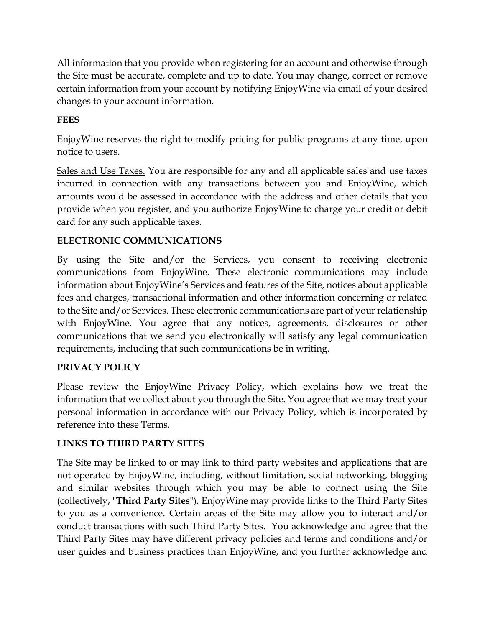All information that you provide when registering for an account and otherwise through the Site must be accurate, complete and up to date. You may change, correct or remove certain information from your account by notifying EnjoyWine via email of your desired changes to your account information.

# **FEES**

EnjoyWine reserves the right to modify pricing for public programs at any time, upon notice to users.

Sales and Use Taxes. You are responsible for any and all applicable sales and use taxes incurred in connection with any transactions between you and EnjoyWine, which amounts would be assessed in accordance with the address and other details that you provide when you register, and you authorize EnjoyWine to charge your credit or debit card for any such applicable taxes.

# **ELECTRONIC COMMUNICATIONS**

By using the Site and/or the Services, you consent to receiving electronic communications from EnjoyWine. These electronic communications may include information about EnjoyWine's Services and features of the Site, notices about applicable fees and charges, transactional information and other information concerning or related to the Site and/or Services. These electronic communications are part of your relationship with EnjoyWine. You agree that any notices, agreements, disclosures or other communications that we send you electronically will satisfy any legal communication requirements, including that such communications be in writing.

# **PRIVACY POLICY**

Please review the EnjoyWine Privacy Policy, which explains how we treat the information that we collect about you through the Site. You agree that we may treat your personal information in accordance with our Privacy Policy, which is incorporated by reference into these Terms.

### **LINKS TO THIRD PARTY SITES**

The Site may be linked to or may link to third party websites and applications that are not operated by EnjoyWine, including, without limitation, social networking, blogging and similar websites through which you may be able to connect using the Site (collectively, "**Third Party Sites**"). EnjoyWine may provide links to the Third Party Sites to you as a convenience. Certain areas of the Site may allow you to interact and/or conduct transactions with such Third Party Sites. You acknowledge and agree that the Third Party Sites may have different privacy policies and terms and conditions and/or user guides and business practices than EnjoyWine, and you further acknowledge and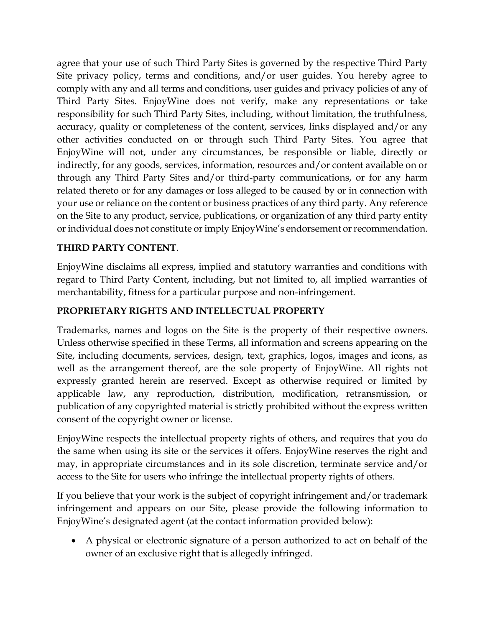agree that your use of such Third Party Sites is governed by the respective Third Party Site privacy policy, terms and conditions, and/or user guides. You hereby agree to comply with any and all terms and conditions, user guides and privacy policies of any of Third Party Sites. EnjoyWine does not verify, make any representations or take responsibility for such Third Party Sites, including, without limitation, the truthfulness, accuracy, quality or completeness of the content, services, links displayed and/or any other activities conducted on or through such Third Party Sites. You agree that EnjoyWine will not, under any circumstances, be responsible or liable, directly or indirectly, for any goods, services, information, resources and/or content available on or through any Third Party Sites and/or third-party communications, or for any harm related thereto or for any damages or loss alleged to be caused by or in connection with your use or reliance on the content or business practices of any third party. Any reference on the Site to any product, service, publications, or organization of any third party entity or individual does not constitute or imply EnjoyWine's endorsement or recommendation.

### **THIRD PARTY CONTENT**.

EnjoyWine disclaims all express, implied and statutory warranties and conditions with regard to Third Party Content, including, but not limited to, all implied warranties of merchantability, fitness for a particular purpose and non-infringement.

### **PROPRIETARY RIGHTS AND INTELLECTUAL PROPERTY**

Trademarks, names and logos on the Site is the property of their respective owners. Unless otherwise specified in these Terms, all information and screens appearing on the Site, including documents, services, design, text, graphics, logos, images and icons, as well as the arrangement thereof, are the sole property of EnjoyWine. All rights not expressly granted herein are reserved. Except as otherwise required or limited by applicable law, any reproduction, distribution, modification, retransmission, or publication of any copyrighted material is strictly prohibited without the express written consent of the copyright owner or license.

EnjoyWine respects the intellectual property rights of others, and requires that you do the same when using its site or the services it offers. EnjoyWine reserves the right and may, in appropriate circumstances and in its sole discretion, terminate service and/or access to the Site for users who infringe the intellectual property rights of others.

If you believe that your work is the subject of copyright infringement and/or trademark infringement and appears on our Site, please provide the following information to EnjoyWine's designated agent (at the contact information provided below):

• A physical or electronic signature of a person authorized to act on behalf of the owner of an exclusive right that is allegedly infringed.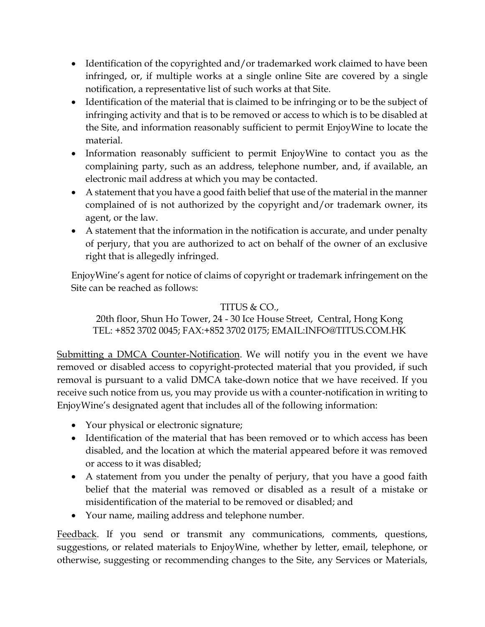- Identification of the copyrighted and/or trademarked work claimed to have been infringed, or, if multiple works at a single online Site are covered by a single notification, a representative list of such works at that Site.
- Identification of the material that is claimed to be infringing or to be the subject of infringing activity and that is to be removed or access to which is to be disabled at the Site, and information reasonably sufficient to permit EnjoyWine to locate the material.
- Information reasonably sufficient to permit EnjoyWine to contact you as the complaining party, such as an address, telephone number, and, if available, an electronic mail address at which you may be contacted.
- A statement that you have a good faith belief that use of the material in the manner complained of is not authorized by the copyright and/or trademark owner, its agent, or the law.
- A statement that the information in the notification is accurate, and under penalty of perjury, that you are authorized to act on behalf of the owner of an exclusive right that is allegedly infringed.

EnjoyWine's agent for notice of claims of copyright or trademark infringement on the Site can be reached as follows:

# TITUS & CO.,

20th floor, Shun Ho Tower, 24 - 30 Ice House Street, Central, Hong Kong TEL: +852 3702 0045; FAX:+852 3702 0175; EMAIL:INFO@TITUS.COM.HK

Submitting a DMCA Counter-Notification. We will notify you in the event we have removed or disabled access to copyright-protected material that you provided, if such removal is pursuant to a valid DMCA take-down notice that we have received. If you receive such notice from us, you may provide us with a counter-notification in writing to EnjoyWine's designated agent that includes all of the following information:

- Your physical or electronic signature;
- Identification of the material that has been removed or to which access has been disabled, and the location at which the material appeared before it was removed or access to it was disabled;
- A statement from you under the penalty of perjury, that you have a good faith belief that the material was removed or disabled as a result of a mistake or misidentification of the material to be removed or disabled; and
- Your name, mailing address and telephone number.

Feedback. If you send or transmit any communications, comments, questions, suggestions, or related materials to EnjoyWine, whether by letter, email, telephone, or otherwise, suggesting or recommending changes to the Site, any Services or Materials,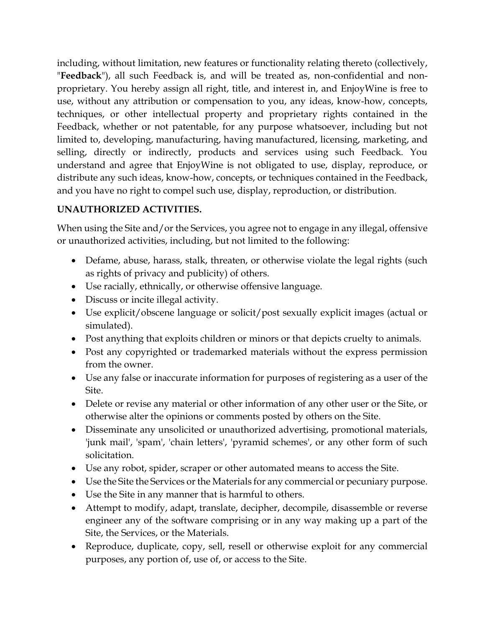including, without limitation, new features or functionality relating thereto (collectively, "**Feedback**"), all such Feedback is, and will be treated as, non-confidential and nonproprietary. You hereby assign all right, title, and interest in, and EnjoyWine is free to use, without any attribution or compensation to you, any ideas, know-how, concepts, techniques, or other intellectual property and proprietary rights contained in the Feedback, whether or not patentable, for any purpose whatsoever, including but not limited to, developing, manufacturing, having manufactured, licensing, marketing, and selling, directly or indirectly, products and services using such Feedback. You understand and agree that EnjoyWine is not obligated to use, display, reproduce, or distribute any such ideas, know-how, concepts, or techniques contained in the Feedback, and you have no right to compel such use, display, reproduction, or distribution.

# **UNAUTHORIZED ACTIVITIES.**

When using the Site and/or the Services, you agree not to engage in any illegal, offensive or unauthorized activities, including, but not limited to the following:

- Defame, abuse, harass, stalk, threaten, or otherwise violate the legal rights (such as rights of privacy and publicity) of others.
- Use racially, ethnically, or otherwise offensive language.
- Discuss or incite illegal activity.
- Use explicit/obscene language or solicit/post sexually explicit images (actual or simulated).
- Post anything that exploits children or minors or that depicts cruelty to animals.
- Post any copyrighted or trademarked materials without the express permission from the owner.
- Use any false or inaccurate information for purposes of registering as a user of the Site.
- Delete or revise any material or other information of any other user or the Site, or otherwise alter the opinions or comments posted by others on the Site.
- Disseminate any unsolicited or unauthorized advertising, promotional materials, 'junk mail', 'spam', 'chain letters', 'pyramid schemes', or any other form of such solicitation.
- Use any robot, spider, scraper or other automated means to access the Site.
- Use the Site the Services or the Materials for any commercial or pecuniary purpose.
- Use the Site in any manner that is harmful to others.
- Attempt to modify, adapt, translate, decipher, decompile, disassemble or reverse engineer any of the software comprising or in any way making up a part of the Site, the Services, or the Materials.
- Reproduce, duplicate, copy, sell, resell or otherwise exploit for any commercial purposes, any portion of, use of, or access to the Site.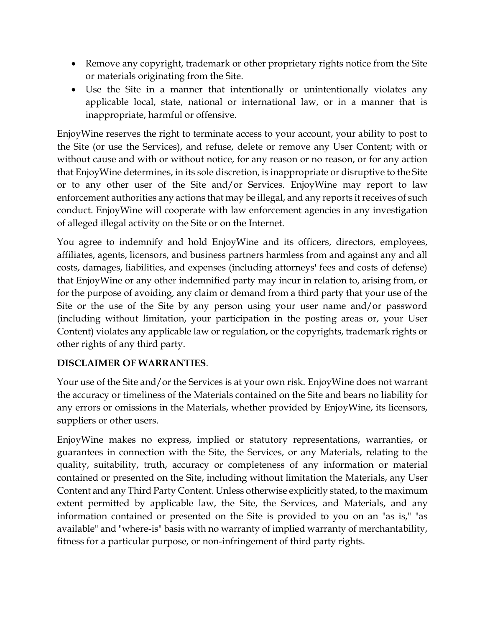- Remove any copyright, trademark or other proprietary rights notice from the Site or materials originating from the Site.
- Use the Site in a manner that intentionally or unintentionally violates any applicable local, state, national or international law, or in a manner that is inappropriate, harmful or offensive.

EnjoyWine reserves the right to terminate access to your account, your ability to post to the Site (or use the Services), and refuse, delete or remove any User Content; with or without cause and with or without notice, for any reason or no reason, or for any action that EnjoyWine determines, in its sole discretion, is inappropriate or disruptive to the Site or to any other user of the Site and/or Services. EnjoyWine may report to law enforcement authorities any actions that may be illegal, and any reports it receives of such conduct. EnjoyWine will cooperate with law enforcement agencies in any investigation of alleged illegal activity on the Site or on the Internet.

You agree to indemnify and hold EnjoyWine and its officers, directors, employees, affiliates, agents, licensors, and business partners harmless from and against any and all costs, damages, liabilities, and expenses (including attorneys' fees and costs of defense) that EnjoyWine or any other indemnified party may incur in relation to, arising from, or for the purpose of avoiding, any claim or demand from a third party that your use of the Site or the use of the Site by any person using your user name and/or password (including without limitation, your participation in the posting areas or, your User Content) violates any applicable law or regulation, or the copyrights, trademark rights or other rights of any third party.

# **DISCLAIMER OF WARRANTIES**.

Your use of the Site and/or the Services is at your own risk. EnjoyWine does not warrant the accuracy or timeliness of the Materials contained on the Site and bears no liability for any errors or omissions in the Materials, whether provided by EnjoyWine, its licensors, suppliers or other users.

EnjoyWine makes no express, implied or statutory representations, warranties, or guarantees in connection with the Site, the Services, or any Materials, relating to the quality, suitability, truth, accuracy or completeness of any information or material contained or presented on the Site, including without limitation the Materials, any User Content and any Third Party Content. Unless otherwise explicitly stated, to the maximum extent permitted by applicable law, the Site, the Services, and Materials, and any information contained or presented on the Site is provided to you on an "as is," "as available" and "where-is" basis with no warranty of implied warranty of merchantability, fitness for a particular purpose, or non-infringement of third party rights.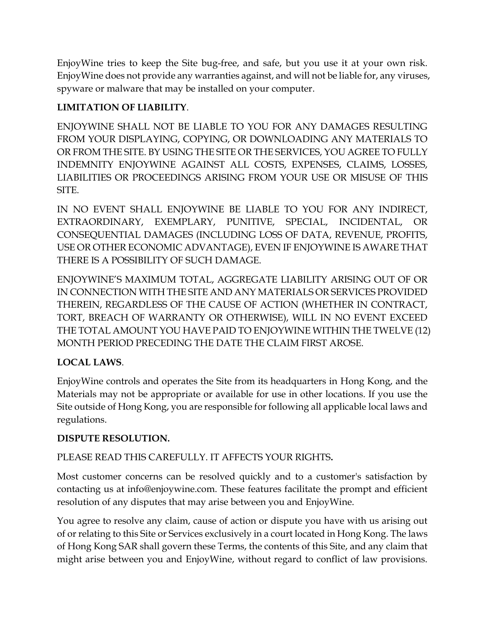EnjoyWine tries to keep the Site bug-free, and safe, but you use it at your own risk. EnjoyWine does not provide any warranties against, and will not be liable for, any viruses, spyware or malware that may be installed on your computer.

# **LIMITATION OF LIABILITY**.

ENJOYWINE SHALL NOT BE LIABLE TO YOU FOR ANY DAMAGES RESULTING FROM YOUR DISPLAYING, COPYING, OR DOWNLOADING ANY MATERIALS TO OR FROM THE SITE. BY USING THE SITE OR THE SERVICES, YOU AGREE TO FULLY INDEMNITY ENJOYWINE AGAINST ALL COSTS, EXPENSES, CLAIMS, LOSSES, LIABILITIES OR PROCEEDINGS ARISING FROM YOUR USE OR MISUSE OF THIS SITE.

IN NO EVENT SHALL ENJOYWINE BE LIABLE TO YOU FOR ANY INDIRECT, EXTRAORDINARY, EXEMPLARY, PUNITIVE, SPECIAL, INCIDENTAL, OR CONSEQUENTIAL DAMAGES (INCLUDING LOSS OF DATA, REVENUE, PROFITS, USE OR OTHER ECONOMIC ADVANTAGE), EVEN IF ENJOYWINE IS AWARE THAT THERE IS A POSSIBILITY OF SUCH DAMAGE.

ENJOYWINE'S MAXIMUM TOTAL, AGGREGATE LIABILITY ARISING OUT OF OR IN CONNECTION WITH THE SITE AND ANY MATERIALS OR SERVICES PROVIDED THEREIN, REGARDLESS OF THE CAUSE OF ACTION (WHETHER IN CONTRACT, TORT, BREACH OF WARRANTY OR OTHERWISE), WILL IN NO EVENT EXCEED THE TOTAL AMOUNT YOU HAVE PAID TO ENJOYWINE WITHIN THE TWELVE (12) MONTH PERIOD PRECEDING THE DATE THE CLAIM FIRST AROSE.

# **LOCAL LAWS**.

EnjoyWine controls and operates the Site from its headquarters in Hong Kong, and the Materials may not be appropriate or available for use in other locations. If you use the Site outside of Hong Kong, you are responsible for following all applicable local laws and regulations.

# **DISPUTE RESOLUTION.**

# PLEASE READ THIS CAREFULLY. IT AFFECTS YOUR RIGHTS**.**

Most customer concerns can be resolved quickly and to a customer's satisfaction by contacting us at info@enjoywine.com. These features facilitate the prompt and efficient resolution of any disputes that may arise between you and EnjoyWine.

You agree to resolve any claim, cause of action or dispute you have with us arising out of or relating to this Site or Services exclusively in a court located in Hong Kong. The laws of Hong Kong SAR shall govern these Terms, the contents of this Site, and any claim that might arise between you and EnjoyWine, without regard to conflict of law provisions.